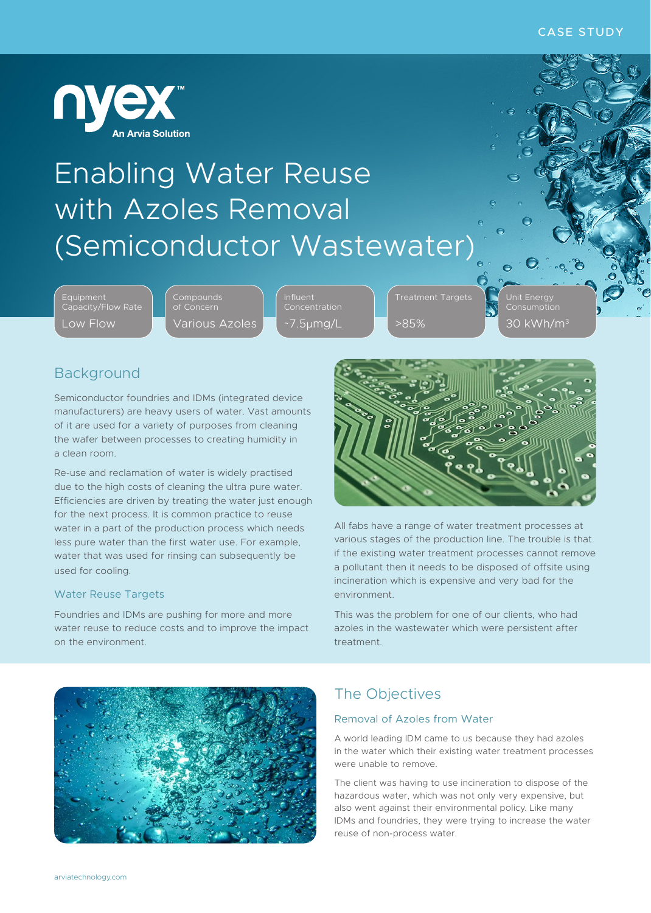

# Enabling Water Reuse with Azoles Removal (Semiconductor Wastewater)

Equipment Capacity/Flow Rate Low Flow

**Compounds** of Concern Various Azoles Influent Concentration ~7.5µmg/L

>85%

Unit Energy Consumption  $30$  kWh/m $^3$ 

# Background

Semiconductor foundries and IDMs (integrated device manufacturers) are heavy users of water. Vast amounts of it are used for a variety of purposes from cleaning the wafer between processes to creating humidity in a clean room.

Re-use and reclamation of water is widely practised due to the high costs of cleaning the ultra pure water. Efficiencies are driven by treating the water just enough for the next process. It is common practice to reuse water in a part of the production process which needs less pure water than the first water use. For example, water that was used for rinsing can subsequently be used for cooling.

#### Water Reuse Targets

Foundries and IDMs are pushing for more and more water reuse to reduce costs and to improve the impact on the environment.



All fabs have a range of water treatment processes at various stages of the production line. The trouble is that if the existing water treatment processes cannot remove a pollutant then it needs to be disposed of offsite using incineration which is expensive and very bad for the environment.

This was the problem for one of our clients, who had azoles in the wastewater which were persistent after treatment.



# The Objectives

#### Removal of Azoles from Water

A world leading IDM came to us because they had azoles in the water which their existing water treatment processes were unable to remove.

The client was having to use incineration to dispose of the hazardous water, which was not only very expensive, but also went against their environmental policy. Like many IDMs and foundries, they were trying to increase the water reuse of non-process water.